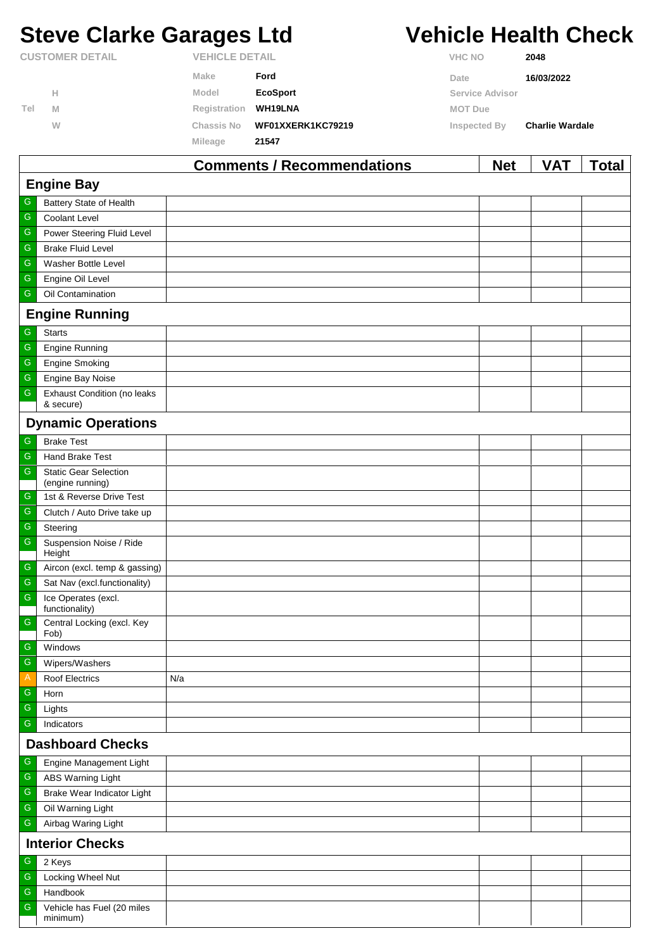# **Steve Clarke Garages Ltd Vehicle Health Check**

|                        |   |                   | Commodate / December on detions | <b>N</b> L-4           | <b>MAT</b><br>$T - 1 - 1$ |  |  |
|------------------------|---|-------------------|---------------------------------|------------------------|---------------------------|--|--|
|                        |   | Mileage           | 21547                           |                        |                           |  |  |
|                        | W | <b>Chassis No</b> | WF01XXERK1KC79219               | Inspected By           | <b>Charlie Wardale</b>    |  |  |
| Tel                    | M | Registration      | WH19LNA                         | <b>MOT Due</b>         |                           |  |  |
|                        | Н | Model             | <b>EcoSport</b>                 | <b>Service Advisor</b> |                           |  |  |
|                        |   | <b>Make</b>       | Ford                            | Date                   | 16/03/2022                |  |  |
| <b>CUSTOMER DETAIL</b> |   |                   | <b>VEHICLE DETAIL</b>           |                        | <b>VHC NO</b><br>2048     |  |  |

|                         |                                                  | <b>Comments / Recommendations</b> | <b>Net</b> | VAT | <u>Total</u> |  |  |  |
|-------------------------|--------------------------------------------------|-----------------------------------|------------|-----|--------------|--|--|--|
| <b>Engine Bay</b>       |                                                  |                                   |            |     |              |  |  |  |
| G                       | Battery State of Health                          |                                   |            |     |              |  |  |  |
| ${\mathsf G}$           | Coolant Level                                    |                                   |            |     |              |  |  |  |
| ${\mathsf G}$           | Power Steering Fluid Level                       |                                   |            |     |              |  |  |  |
| ${\mathsf G}$           | <b>Brake Fluid Level</b>                         |                                   |            |     |              |  |  |  |
| ${\mathsf G}$           | Washer Bottle Level                              |                                   |            |     |              |  |  |  |
| ${\mathsf G}$           | Engine Oil Level                                 |                                   |            |     |              |  |  |  |
| ${\mathsf G}$           | Oil Contamination                                |                                   |            |     |              |  |  |  |
|                         | <b>Engine Running</b>                            |                                   |            |     |              |  |  |  |
| G                       | <b>Starts</b>                                    |                                   |            |     |              |  |  |  |
| ${\mathsf G}$           | Engine Running                                   |                                   |            |     |              |  |  |  |
| ${\mathsf G}$           | <b>Engine Smoking</b>                            |                                   |            |     |              |  |  |  |
| ${\mathsf G}$           | Engine Bay Noise                                 |                                   |            |     |              |  |  |  |
| ${\mathsf G}$           | Exhaust Condition (no leaks<br>& secure)         |                                   |            |     |              |  |  |  |
|                         | <b>Dynamic Operations</b>                        |                                   |            |     |              |  |  |  |
| G                       | <b>Brake Test</b>                                |                                   |            |     |              |  |  |  |
| ${\mathsf G}$           | Hand Brake Test                                  |                                   |            |     |              |  |  |  |
| ${\mathsf G}$           | <b>Static Gear Selection</b><br>(engine running) |                                   |            |     |              |  |  |  |
| G                       | 1st & Reverse Drive Test                         |                                   |            |     |              |  |  |  |
| ${\mathsf G}$           | Clutch / Auto Drive take up                      |                                   |            |     |              |  |  |  |
| $\overline{\mathbb{G}}$ | Steering                                         |                                   |            |     |              |  |  |  |
| ${\mathsf G}$           | Suspension Noise / Ride<br>Height                |                                   |            |     |              |  |  |  |
| ${\mathsf G}$           | Aircon (excl. temp & gassing)                    |                                   |            |     |              |  |  |  |
| $\mathsf G$             | Sat Nav (excl.functionality)                     |                                   |            |     |              |  |  |  |
| ${\mathsf G}$           | Ice Operates (excl.<br>functionality)            |                                   |            |     |              |  |  |  |
| ${\mathsf G}$           | Central Locking (excl. Key<br>Fob)               |                                   |            |     |              |  |  |  |
| G                       | Windows                                          |                                   |            |     |              |  |  |  |
| $\overline{G}$          | Wipers/Washers                                   |                                   |            |     |              |  |  |  |
| $\mathsf{A}$            | Roof Electrics                                   | N/a                               |            |     |              |  |  |  |
| G                       | Horn                                             |                                   |            |     |              |  |  |  |
| ${\mathsf G}$           | Lights                                           |                                   |            |     |              |  |  |  |
| $\overline{\mathbb{G}}$ | Indicators                                       |                                   |            |     |              |  |  |  |
|                         | <b>Dashboard Checks</b>                          |                                   |            |     |              |  |  |  |
| G                       | Engine Management Light                          |                                   |            |     |              |  |  |  |
| ${\mathsf G}$           | ABS Warning Light                                |                                   |            |     |              |  |  |  |
| ${\mathsf G}$           | Brake Wear Indicator Light                       |                                   |            |     |              |  |  |  |
| ${\mathsf G}$           | Oil Warning Light                                |                                   |            |     |              |  |  |  |
| ${\mathsf G}$           | Airbag Waring Light                              |                                   |            |     |              |  |  |  |
|                         | <b>Interior Checks</b>                           |                                   |            |     |              |  |  |  |
| G                       | 2 Keys                                           |                                   |            |     |              |  |  |  |
| ${\mathsf G}$           | Locking Wheel Nut                                |                                   |            |     |              |  |  |  |
| ${\mathsf G}$           | Handbook                                         |                                   |            |     |              |  |  |  |
| ${\mathsf G}$           | Vehicle has Fuel (20 miles<br>minimum)           |                                   |            |     |              |  |  |  |